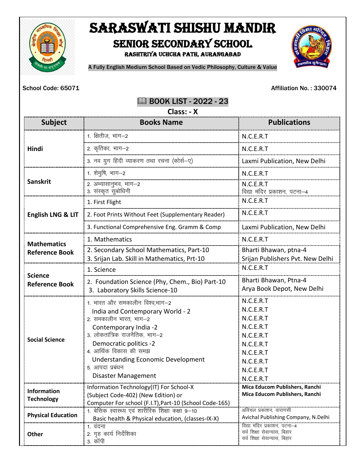

# SARASWATI SHISHU MANDIR SENIOR SECONDARY SCHOOL

Rashtriya Uchcha Path, Aurangabad



A Fully English Medium School Based on Vedic Philosophy, Culture & Value

School Code: 65071 **Affiliation No.: 330074** 

### **EQ BOOK LIST - 2022 - 23**

| Class: - X                                  |                                                                                                                                                                                                                                                                                                           |                                                                                                                                |  |
|---------------------------------------------|-----------------------------------------------------------------------------------------------------------------------------------------------------------------------------------------------------------------------------------------------------------------------------------------------------------|--------------------------------------------------------------------------------------------------------------------------------|--|
| <b>Subject</b>                              | <b>Books Name</b>                                                                                                                                                                                                                                                                                         | <b>Publications</b>                                                                                                            |  |
| Hindi                                       | 1. क्षितीज, भाग–2                                                                                                                                                                                                                                                                                         | N.C.E.R.T                                                                                                                      |  |
|                                             | 2. कृतिका, भाग–2                                                                                                                                                                                                                                                                                          | N.C.E.R.T                                                                                                                      |  |
|                                             | 3. नव युग हिंदी व्याकरण तथा रचना (कोर्स-ए)                                                                                                                                                                                                                                                                | Laxmi Publication, New Delhi                                                                                                   |  |
| <b>Sanskrit</b>                             | 1. शेमुषि, भाग-2                                                                                                                                                                                                                                                                                          | N.C.E.R.T                                                                                                                      |  |
|                                             | 2. अभ्यासानुभव, भाग-2<br>3. संस्कृत सुबोधिनी                                                                                                                                                                                                                                                              | N.C.E.R.T<br>विद्या मंदिर प्रकाशन, पटना-4                                                                                      |  |
| <b>English LNG &amp; LIT</b>                | 1. First Flight                                                                                                                                                                                                                                                                                           | N.C.E.R.T                                                                                                                      |  |
|                                             | 2. Foot Prints Without Feet (Supplementary Reader)                                                                                                                                                                                                                                                        | N.C.E.R.T                                                                                                                      |  |
|                                             | 3. Functional Comprehensive Eng. Gramm & Comp                                                                                                                                                                                                                                                             | Laxmi Publication, New Delhi                                                                                                   |  |
| <b>Mathematics</b><br><b>Reference Book</b> | 1. Mathematics                                                                                                                                                                                                                                                                                            | N.C.E.R.T                                                                                                                      |  |
|                                             | 2. Secondary School Mathematics, Part-10<br>3. Srijan Lab. Skill in Mathematics, Prt-10                                                                                                                                                                                                                   | Bharti Bhawan, ptna-4<br>Srijan Publishers Pvt. New Delhi                                                                      |  |
| <b>Science</b><br><b>Reference Book</b>     | 1. Science                                                                                                                                                                                                                                                                                                | N.C.E.R.T                                                                                                                      |  |
|                                             | 2. Foundation Science (Phy, Chem., Bio) Part-10<br>3. Laboratory Skills Science-10                                                                                                                                                                                                                        | Bharti Bhawan, Ptna-4<br>Arya Book Depot, New Delhi                                                                            |  |
| <b>Social Science</b>                       | 1. भारत और समकालीन विश्व,भाग-2<br>India and Contemporary World - 2<br>2. समकालीन भारत, भाग-2<br>Contemporary India -2<br>3. लोकतांत्रिक राजनैतिक, भाग-2<br>Democratic politics -2<br>4. आर्थिक विकास की समझ<br><b>Understanding Economic Development</b><br>5. आपदा प्रबंधन<br><b>Disaster Management</b> | N.C.E.R.T<br>N.C.E.R.T<br>N.C.E.R.T<br>N.C.E.R.T<br>N.C.E.R.T<br>N.C.E.R.T<br>N.C.E.R.T<br>N.C.E.R.T<br>N.C.E.R.T<br>N.C.E.R.T |  |
| <b>Information</b><br><b>Technology</b>     | Information Technology(IT) For School-X<br>(Subject Code-402) (New Edition) or<br>Computer For school (F.I.T), Part-10 (School Code-165)                                                                                                                                                                  | Mica Educom Publishers, Ranchi<br>Mica Educom Publishers, Ranchi                                                               |  |
| <b>Physical Education</b>                   | Basic health & Physical education, (classes-IX-X)                                                                                                                                                                                                                                                         | Avichal Publishing Company, N.Delhi                                                                                            |  |
| Other                                       | 1. वंदना<br>2. गृह कार्य निर्देशिका<br>3. कॉपी                                                                                                                                                                                                                                                            | विद्या मंदिर प्रकाशन, पटना-4<br>सर्व शिक्षा सेवान्यास, बिहार<br>सर्व शिक्षा सेवान्यास, बिहार                                   |  |